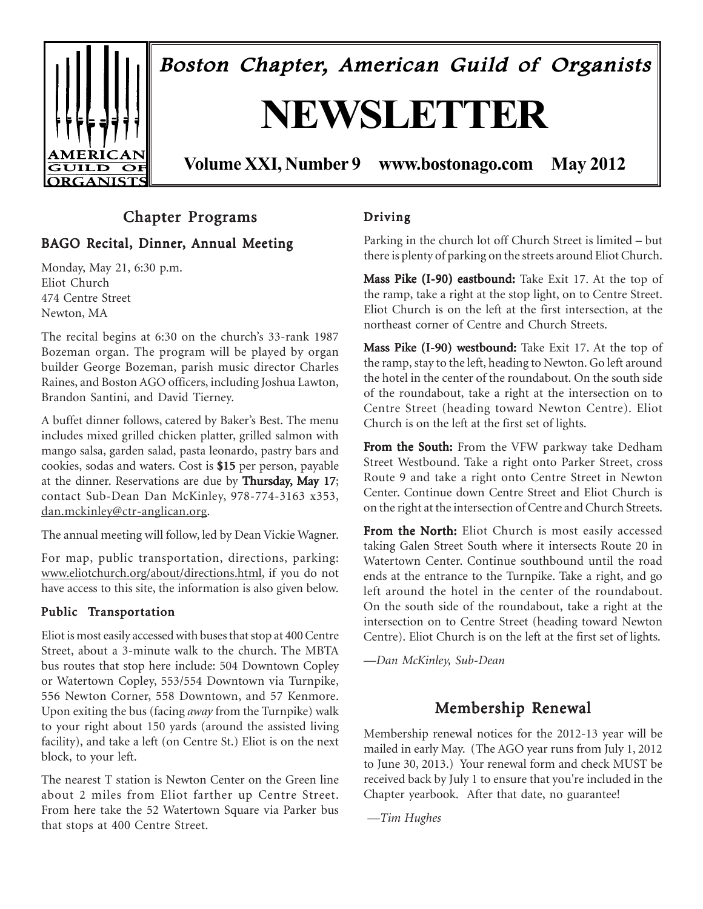

## Chapter Programs

### BAGO Recital, Dinner, Annual Meeting

Monday, May 21, 6:30 p.m. Eliot Church 474 Centre Street Newton, MA

The recital begins at 6:30 on the church's 33-rank 1987 Bozeman organ. The program will be played by organ builder George Bozeman, parish music director Charles Raines, and Boston AGO officers, including Joshua Lawton, Brandon Santini, and David Tierney.

A buffet dinner follows, catered by Baker's Best. The menu includes mixed grilled chicken platter, grilled salmon with mango salsa, garden salad, pasta leonardo, pastry bars and cookies, sodas and waters. Cost is \$15 per person, payable \$15 at the dinner. Reservations are due by Thursday, May 17; contact Sub-Dean Dan McKinley, 978-774-3163 x353, dan.mckinley@ctr-anglican.org.

The annual meeting will follow, led by Dean Vickie Wagner.

For map, public transportation, directions, parking: www.eliotchurch.org/about/directions.html, if you do not have access to this site, the information is also given below.

#### Public Transportation

Eliot is most easily accessed with buses that stop at 400 Centre Street, about a 3-minute walk to the church. The MBTA bus routes that stop here include: 504 Downtown Copley or Watertown Copley, 553/554 Downtown via Turnpike, 556 Newton Corner, 558 Downtown, and 57 Kenmore. Upon exiting the bus (facing *away* from the Turnpike) walk to your right about 150 yards (around the assisted living facility), and take a left (on Centre St.) Eliot is on the next block, to your left.

The nearest T station is Newton Center on the Green line about 2 miles from Eliot farther up Centre Street. From here take the 52 Watertown Square via Parker bus that stops at 400 Centre Street.

#### Driving

Parking in the church lot off Church Street is limited – but there is plenty of parking on the streets around Eliot Church.

Mass Pike (I-90) eastbound: Take Exit 17. At the top of the ramp, take a right at the stop light, on to Centre Street. Eliot Church is on the left at the first intersection, at the northeast corner of Centre and Church Streets.

Mass Pike (I-90) westbound: Take Exit 17. At the top of the ramp, stay to the left, heading to Newton. Go left around the hotel in the center of the roundabout. On the south side of the roundabout, take a right at the intersection on to Centre Street (heading toward Newton Centre). Eliot Church is on the left at the first set of lights.

From the South: From the VFW parkway take Dedham Street Westbound. Take a right onto Parker Street, cross Route 9 and take a right onto Centre Street in Newton Center. Continue down Centre Street and Eliot Church is on the right at the intersection of Centre and Church Streets.

From the North: Eliot Church is most easily accessed taking Galen Street South where it intersects Route 20 in Watertown Center. Continue southbound until the road ends at the entrance to the Turnpike. Take a right, and go left around the hotel in the center of the roundabout. On the south side of the roundabout, take a right at the intersection on to Centre Street (heading toward Newton Centre). Eliot Church is on the left at the first set of lights.

*—Dan McKinley, Sub-Dean*

## Membership Renewal

Membership renewal notices for the 2012-13 year will be mailed in early May. (The AGO year runs from July 1, 2012 to June 30, 2013.) Your renewal form and check MUST be received back by July 1 to ensure that you're included in the Chapter yearbook. After that date, no guarantee!

 *—Tim Hughes*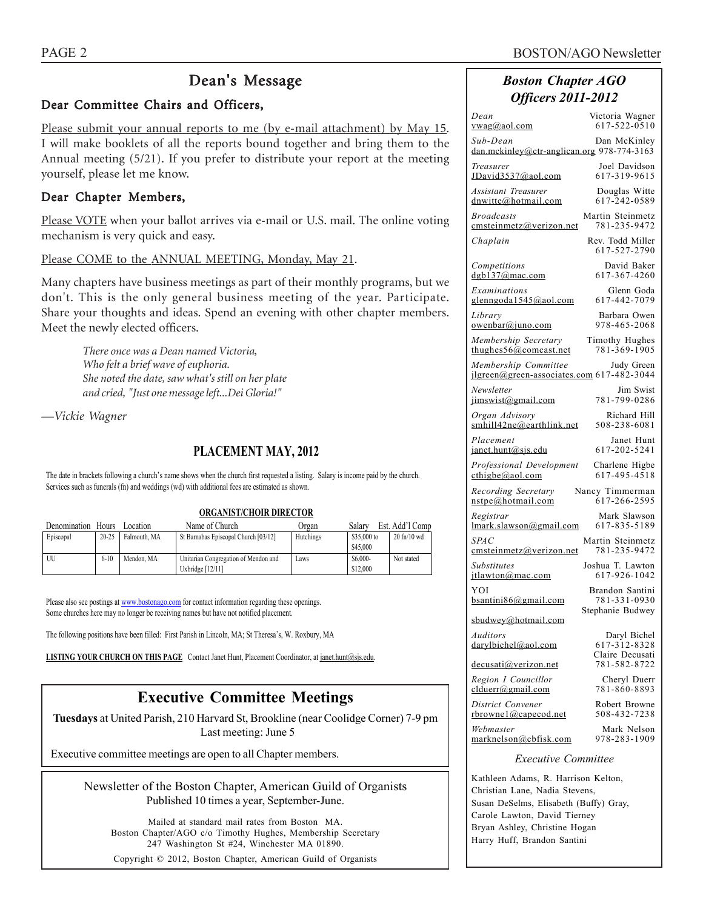## Dean's Message

#### Dear Committee Chairs and Officers,

Please submit your annual reports to me (by e-mail attachment) by May 15. I will make booklets of all the reports bound together and bring them to the Annual meeting (5/21). If you prefer to distribute your report at the meeting yourself, please let me know.

#### Dear Chapter Members,

Please VOTE when your ballot arrives via e-mail or U.S. mail. The online voting mechanism is very quick and easy.

Please COME to the ANNUAL MEETING, Monday, May 21.

Many chapters have business meetings as part of their monthly programs, but we don't. This is the only general business meeting of the year. Participate. Share your thoughts and ideas. Spend an evening with other chapter members. Meet the newly elected officers.

*There once was a Dean named Victoria, Who felt a brief wave of euphoria. She noted the date, saw what's still on her plate and cried, "Just one message left...Dei Gloria!"*

*—Vickie Wagner*

#### **PLACEMENT MAY, 2012**

The date in brackets following a church's name shows when the church first requested a listing. Salary is income paid by the church. Services such as funerals (fn) and weddings (wd) with additional fees are estimated as shown.

#### **ORGANIST/CHOIR DIRECTOR**

| Denomination | <b>Hours</b> | Location     | Name of Church                       | Organ     | Salary                  | Est. Add'l Comp  |
|--------------|--------------|--------------|--------------------------------------|-----------|-------------------------|------------------|
| Episcopal    | $20 - 25$    | Falmouth, MA | St Barnabas Episcopal Church [03/12] | Hutchings | \$35,000 to<br>\$45,000 | $20$ fn/ $10$ wd |
| UU           | $6 - 10$     | Mendon, MA   | Unitarian Congregation of Mendon and | Laws      | $$6,000-$               | Not stated       |
|              |              |              | Uxbridge $[12/11]$                   |           | \$12,000                |                  |

Please also see postings at www.bostonago.com for contact information regarding these openings. Some churches here may no longer be receiving names but have not notified placement.

The following positions have been filled: First Parish in Lincoln, MA; St Theresa's, W. Roxbury, MA

**LISTING YOUR CHURCH ON THIS PAGE** Contact Janet Hunt, Placement Coordinator, at janet.hunt@sjs.edu.

## **Executive Committee Meetings**

**Tuesdays** at United Parish, 210 Harvard St, Brookline (near Coolidge Corner) 7-9 pm Last meeting: June 5

Executive committee meetings are open to all Chapter members.

Newsletter of the Boston Chapter, American Guild of Organists Published 10 times a year, September-June.

Mailed at standard mail rates from Boston MA. Boston Chapter/AGO c/o Timothy Hughes, Membership Secretary 247 Washington St #24, Winchester MA 01890.

Copyright © 2012, Boston Chapter, American Guild of Organists

### *Boston Chapter AGO Officers 2011-2012*

| Dean<br>$vwa$ g@aol.com                                           | Victoria Wagner<br>617-522-0510  |  |  |  |  |
|-------------------------------------------------------------------|----------------------------------|--|--|--|--|
| Sub-Dean<br>dan.mckinley@ctr-anglican.org 978-774-3163            | Dan McKinley                     |  |  |  |  |
| Treasurer<br>JDavid3537@aol.com                                   | Joel Davidson<br>617-319-9615    |  |  |  |  |
| Assistant Treasurer<br>dnwitte@hotmail.com                        | Douglas Witte<br>617-242-0589    |  |  |  |  |
| <b>Broadcasts</b><br>cmsteinmetz@verizon.net                      | Martin Steinmetz<br>781-235-9472 |  |  |  |  |
| Chaplain                                                          | Rev. Todd Miller<br>617-527-2790 |  |  |  |  |
| Competitions<br>$d$ gb137@mac.com                                 | David Baker<br>617-367-4260      |  |  |  |  |
| Examinations<br>glenngoda1545@aol.com                             | Glenn Goda<br>617-442-7079       |  |  |  |  |
| Library<br><u>owenbar@juno.com</u>                                | Barbara Owen<br>978-465-2068     |  |  |  |  |
| Membership Secretary<br>thughes $56@$ comcast.net                 | Timothy Hughes<br>781-369-1905   |  |  |  |  |
| Membership Committee<br>jlgreen@green-associates.com 617-482-3044 | Judy Green                       |  |  |  |  |
| Newsletter<br>jimswist@gmail.com                                  | Jim Swist<br>781-799-0286        |  |  |  |  |
| Organ Advisory<br>smhill42ne@earthlink.net                        | Richard Hill<br>508-238-6081     |  |  |  |  |
| Placement<br>janet.hunt@sjs.edu                                   | Janet Hunt<br>617-202-5241       |  |  |  |  |
| Professional Development<br>$\text{cthigbe}(a)$ aol.com           | Charlene Higbe<br>617-495-4518   |  |  |  |  |
| Recording Secretary<br>nstpe@hotmail.com                          | Nancy Timmerman<br>617-266-2595  |  |  |  |  |
| Registrar<br>lmark.slawson@gmail.com                              | Mark Slawson<br>617-835-5189     |  |  |  |  |
| <i>SPAC</i><br>emsteinmetz@verizon.net                            | Martin Steinmetz<br>781-235-9472 |  |  |  |  |
| Substitutes<br>itlawton@mac.com                                   | Joshua T. Lawton<br>617-926-1042 |  |  |  |  |
| YOI<br>bsantini86@gmail.com                                       | Brandon Santini<br>781-331-0930  |  |  |  |  |
| sbudwey@hotmail.com                                               | Stephanie Budwey                 |  |  |  |  |
| Auditors<br>darylbichel@aol.com                                   | Daryl Bichel<br>617-312-8328     |  |  |  |  |
| <u>decusati@verizon.net</u>                                       | Claire Decusati<br>781-582-8722  |  |  |  |  |
| Region I Councillor<br>$clduerr(\partial gmail.com)$              | Cheryl Duerr<br>781-860-8893     |  |  |  |  |
| District Convener<br>rbrownel@capecod.net                         | Robert Browne<br>508-432-7238    |  |  |  |  |
| Webmaster<br>marknelson@cbfisk.com                                | Mark Nelson<br>978-283-1909      |  |  |  |  |
| <i>Executive Committee</i>                                        |                                  |  |  |  |  |
| Kathleen Adams, R. Harrison Kelton.                               |                                  |  |  |  |  |

Kathleen Adams, R. Harrison Kelton, Christian Lane, Nadia Stevens, Susan DeSelms, Elisabeth (Buffy) Gray, Carole Lawton, David Tierney Bryan Ashley, Christine Hogan Harry Huff, Brandon Santini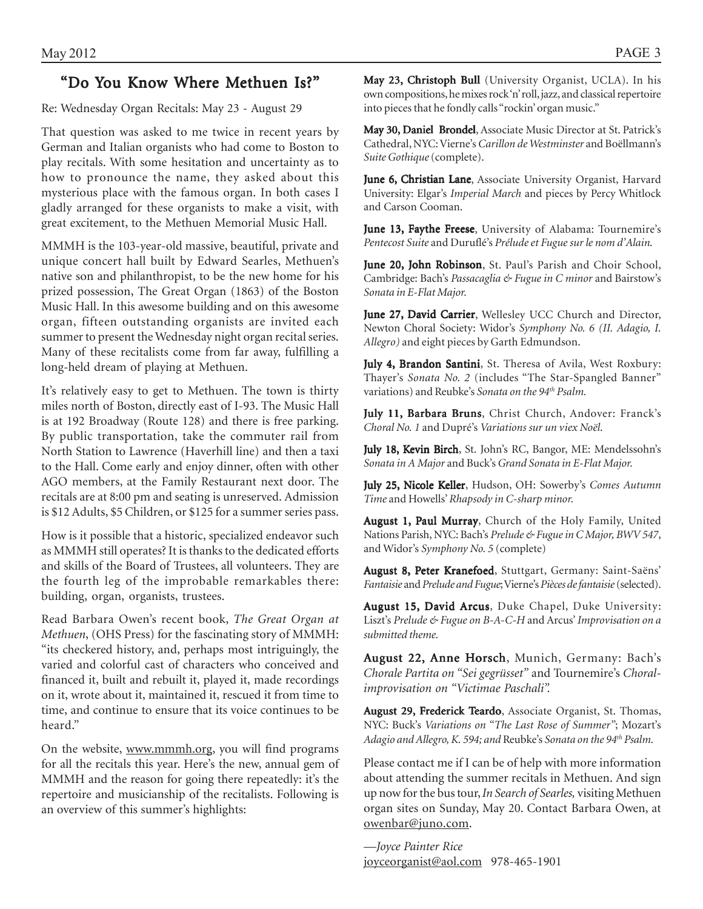## "Do You Know Where Methuen Is?"

Re: Wednesday Organ Recitals: May 23 - August 29

That question was asked to me twice in recent years by German and Italian organists who had come to Boston to play recitals. With some hesitation and uncertainty as to how to pronounce the name, they asked about this mysterious place with the famous organ. In both cases I gladly arranged for these organists to make a visit, with great excitement, to the Methuen Memorial Music Hall.

MMMH is the 103-year-old massive, beautiful, private and unique concert hall built by Edward Searles, Methuen's native son and philanthropist, to be the new home for his prized possession, The Great Organ (1863) of the Boston Music Hall. In this awesome building and on this awesome organ, fifteen outstanding organists are invited each summer to present the Wednesday night organ recital series. Many of these recitalists come from far away, fulfilling a long-held dream of playing at Methuen.

It's relatively easy to get to Methuen. The town is thirty miles north of Boston, directly east of I-93. The Music Hall is at 192 Broadway (Route 128) and there is free parking. By public transportation, take the commuter rail from North Station to Lawrence (Haverhill line) and then a taxi to the Hall. Come early and enjoy dinner, often with other AGO members, at the Family Restaurant next door. The recitals are at 8:00 pm and seating is unreserved. Admission is \$12 Adults, \$5 Children, or \$125 for a summer series pass.

How is it possible that a historic, specialized endeavor such as MMMH still operates? It is thanks to the dedicated efforts and skills of the Board of Trustees, all volunteers. They are the fourth leg of the improbable remarkables there: building, organ, organists, trustees.

Read Barbara Owen's recent book, *The Great Organ at Methuen*, (OHS Press) for the fascinating story of MMMH: "its checkered history, and, perhaps most intriguingly, the varied and colorful cast of characters who conceived and financed it, built and rebuilt it, played it, made recordings on it, wrote about it, maintained it, rescued it from time to time, and continue to ensure that its voice continues to be heard."

On the website, www.mmmh.org, you will find programs for all the recitals this year. Here's the new, annual gem of MMMH and the reason for going there repeatedly: it's the repertoire and musicianship of the recitalists. Following is an overview of this summer's highlights:

May 23, Christoph Bull (University Organist, UCLA). In his own compositions, he mixes rock 'n' roll, jazz, and classical repertoire into pieces that he fondly calls "rockin' organ music."

May 30, Daniel Brondel, Associate Music Director at St. Patrick's Cathedral, NYC: Vierne's *Carillon de Westminster* and Boëllmann's *Suite Gothique* (complete).

June 6, Christian Lane, Associate University Organist, Harvard University: Elgar's *Imperial March* and pieces by Percy Whitlock and Carson Cooman.

June 13, Faythe Freese, University of Alabama: Tournemire's *Pentecost Suite* and Duruflé's *Prélude et Fugue sur le nom d'Alain.*

June 20, John Robinson, St. Paul's Parish and Choir School, Cambridge: Bach's *Passacaglia & Fugue in C minor* and Bairstow's *Sonata in E-Flat Major.*

June 27, David Carrier, Wellesley UCC Church and Director, Newton Choral Society: Widor's *Symphony No. 6 (II. Adagio, I. Allegro)* and eight pieces by Garth Edmundson.

July 4, Brandon Santini, St. Theresa of Avila, West Roxbury: Thayer's *Sonata No. 2* (includes "The Star-Spangled Banner" variations) and Reubke's *Sonata on the 94th Psalm.*

July 11, Barbara Bruns, Christ Church, Andover: Franck's *Choral No. 1* and Dupré's *Variations sur un viex Noël*.

July 18, Kevin Birch, St. John's RC, Bangor, ME: Mendelssohn's *Sonata in A Major* and Buck's *Grand Sonata in E-Flat Major.*

July 25, Nicole Keller, Hudson, OH: Sowerby's Comes Autumn *Time* and Howells' *Rhapsody in C-sharp minor.*

August 1, Paul Murray, Church of the Holy Family, United Nations Parish, NYC: Bach's *Prelude & Fugue in C Major, BWV 547*, and Widor's *Symphony No. 5* (complete)

August 8, Peter Kranefoed, Stuttgart, Germany: Saint-Saëns' *Fantaisie* and *Prelude and Fugue*; Vierne's *Pièces de fantaisie* (selected).

August 15, David Arcus, Duke Chapel, Duke University: Liszt's *Prelude & Fugue on B-A-C-H* and Arcus' *Improvisation on a submitted theme.*

August 22, Anne Horsch, Munich, Germany: Bach's *Chorale Partita on "Sei gegrüsset"* and Tournemire's *Choralimprovisation on "Victimae Paschali".*

August 29, Frederick Teardo, Associate Organist, St. Thomas, NYC: Buck's *Variations on "The Last Rose of Summer"*; Mozart's *Adagio and Allegro, K. 594; and* Reubke's *Sonata on the 94th Psalm.*

Please contact me if I can be of help with more information about attending the summer recitals in Methuen. And sign up now for the bus tour, *In Search of Searles,* visiting Methuen organ sites on Sunday, May 20. Contact Barbara Owen, at owenbar@juno.com.

*—Joyce Painter Rice* joyceorganist@aol.com 978-465-1901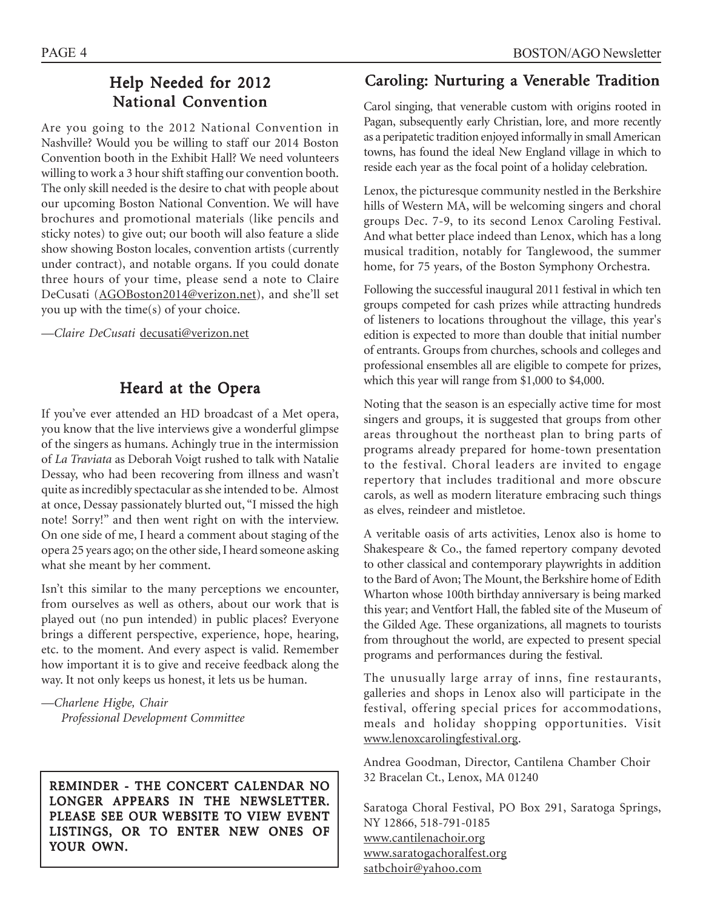## Help Needed for 2012 National Convention

Are you going to the 2012 National Convention in Nashville? Would you be willing to staff our 2014 Boston Convention booth in the Exhibit Hall? We need volunteers willing to work a 3 hour shift staffing our convention booth. The only skill needed is the desire to chat with people about our upcoming Boston National Convention. We will have brochures and promotional materials (like pencils and sticky notes) to give out; our booth will also feature a slide show showing Boston locales, convention artists (currently under contract), and notable organs. If you could donate three hours of your time, please send a note to Claire DeCusati (AGOBoston2014@verizon.net), and she'll set you up with the time(s) of your choice.

*—Claire DeCusati* decusati@verizon.net

## Heard at the Opera

If you've ever attended an HD broadcast of a Met opera, you know that the live interviews give a wonderful glimpse of the singers as humans. Achingly true in the intermission of *La Traviata* as Deborah Voigt rushed to talk with Natalie Dessay, who had been recovering from illness and wasn't quite as incredibly spectacular as she intended to be. Almost at once, Dessay passionately blurted out, "I missed the high note! Sorry!" and then went right on with the interview. On one side of me, I heard a comment about staging of the opera 25 years ago; on the other side, I heard someone asking what she meant by her comment.

Isn't this similar to the many perceptions we encounter, from ourselves as well as others, about our work that is played out (no pun intended) in public places? Everyone brings a different perspective, experience, hope, hearing, etc. to the moment. And every aspect is valid. Remember how important it is to give and receive feedback along the way. It not only keeps us honest, it lets us be human.

*—Charlene Higbe, Chair Professional Development Committee*

REMINDER - THE CONCERT CALENDAR NO LONGER APPEARS IN THE NEWSLETTER. PLEASE SEE OUR WEBSITE TO VIEW EVENT LISTINGS, OR TO ENTER NEW ONES OF YOUR OWN.

## Caroling: Nurturing a Venerable Tradition

Carol singing, that venerable custom with origins rooted in Pagan, subsequently early Christian, lore, and more recently as a peripatetic tradition enjoyed informally in small American towns, has found the ideal New England village in which to reside each year as the focal point of a holiday celebration.

Lenox, the picturesque community nestled in the Berkshire hills of Western MA, will be welcoming singers and choral groups Dec. 7-9, to its second Lenox Caroling Festival. And what better place indeed than Lenox, which has a long musical tradition, notably for Tanglewood, the summer home, for 75 years, of the Boston Symphony Orchestra.

Following the successful inaugural 2011 festival in which ten groups competed for cash prizes while attracting hundreds of listeners to locations throughout the village, this year's edition is expected to more than double that initial number of entrants. Groups from churches, schools and colleges and professional ensembles all are eligible to compete for prizes, which this year will range from \$1,000 to \$4,000.

Noting that the season is an especially active time for most singers and groups, it is suggested that groups from other areas throughout the northeast plan to bring parts of programs already prepared for home-town presentation to the festival. Choral leaders are invited to engage repertory that includes traditional and more obscure carols, as well as modern literature embracing such things as elves, reindeer and mistletoe.

A veritable oasis of arts activities, Lenox also is home to Shakespeare & Co., the famed repertory company devoted to other classical and contemporary playwrights in addition to the Bard of Avon; The Mount, the Berkshire home of Edith Wharton whose 100th birthday anniversary is being marked this year; and Ventfort Hall, the fabled site of the Museum of the Gilded Age. These organizations, all magnets to tourists from throughout the world, are expected to present special programs and performances during the festival.

The unusually large array of inns, fine restaurants, galleries and shops in Lenox also will participate in the festival, offering special prices for accommodations, meals and holiday shopping opportunities. Visit www.lenoxcarolingfestival.org.

Andrea Goodman, Director, Cantilena Chamber Choir 32 Bracelan Ct., Lenox, MA 01240

Saratoga Choral Festival, PO Box 291, Saratoga Springs, NY 12866, 518-791-0185 www.cantilenachoir.org www.saratogachoralfest.org satbchoir@yahoo.com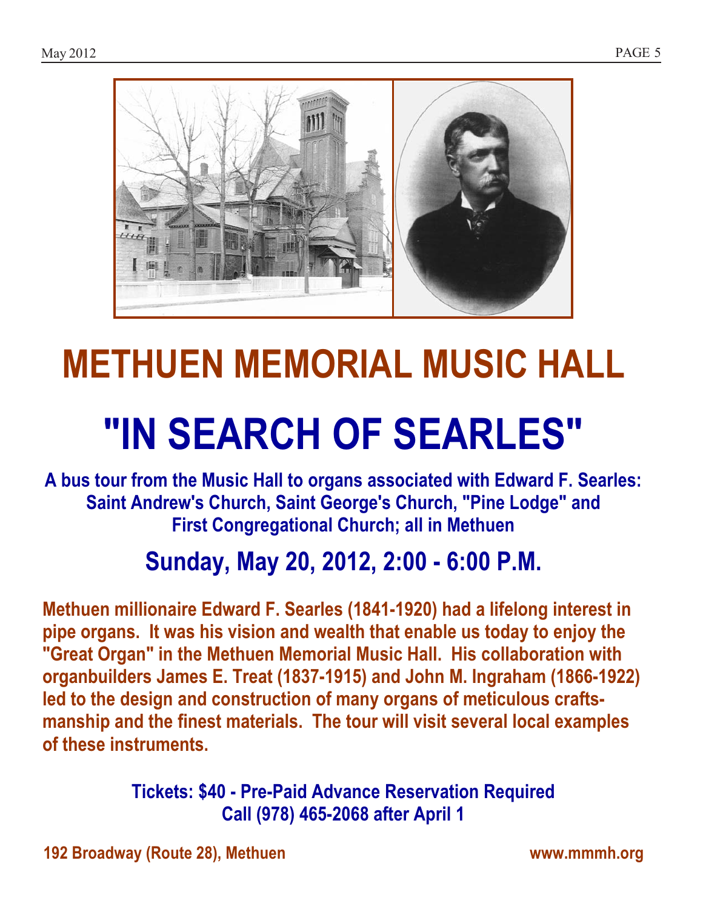

## METHUEN MEMORIAL MUSIC HALL

# "IN SEARCH OF SEARLES"

A bus tour from the Music Hall to organs associated with Edward F. Searles: Saint Andrew's Church, Saint George's Church, "Pine Lodge" and First Congregational Church; all in Methuen

## Sunday, May 20, 2012, 2:00 - 6:00 P.M.

Methuen millionaire Edward F. Searles (1841-1920) had a lifelong interest in pipe organs. It was his vision and wealth that enable us today to enjoy the "Great Organ" in the Methuen Memorial Music Hall. His collaboration with organbuilders James E. Treat (1837-1915) and John M. Ingraham (1866-1922) led to the design and construction of many organs of meticulous craftsmanship and the finest materials. The tour will visit several local examples of these instruments.

> Tickets: \$40 - Pre-Paid Advance Reservation Required Call (978) 465-2068 after April 1

192 Broadway (Route 28), Methuen www.mmmh.org